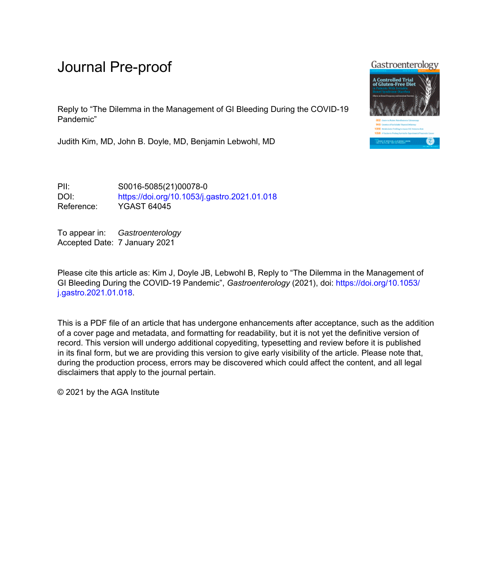# Journal Pre-proof

Reply to "The Dilemma in the Management of GI Bleeding During the COVID-19 Pandemic"

Judith Kim, MD, John B. Doyle, MD, Benjamin Lebwohl, MD

PII: S0016-5085(21)00078-0 DOI: <https://doi.org/10.1053/j.gastro.2021.01.018> Reference: YGAST 64045

To appear in: Gastroenterology Accepted Date: 7 January 2021

Please cite this article as: Kim J, Doyle JB, Lebwohl B, Reply to "The Dilemma in the Management of GI Bleeding During the COVID-19 Pandemic", *Gastroenterology* (2021), doi: [https://doi.org/10.1053/](https://doi.org/10.1053/j.gastro.2021.01.018) [j.gastro.2021.01.018](https://doi.org/10.1053/j.gastro.2021.01.018).

This is a PDF file of an article that has undergone enhancements after acceptance, such as the addition of a cover page and metadata, and formatting for readability, but it is not yet the definitive version of record. This version will undergo additional copyediting, typesetting and review before it is published in its final form, but we are providing this version to give early visibility of the article. Please note that, during the production process, errors may be discovered which could affect the content, and all legal disclaimers that apply to the journal pertain.

© 2021 by the AGA Institute